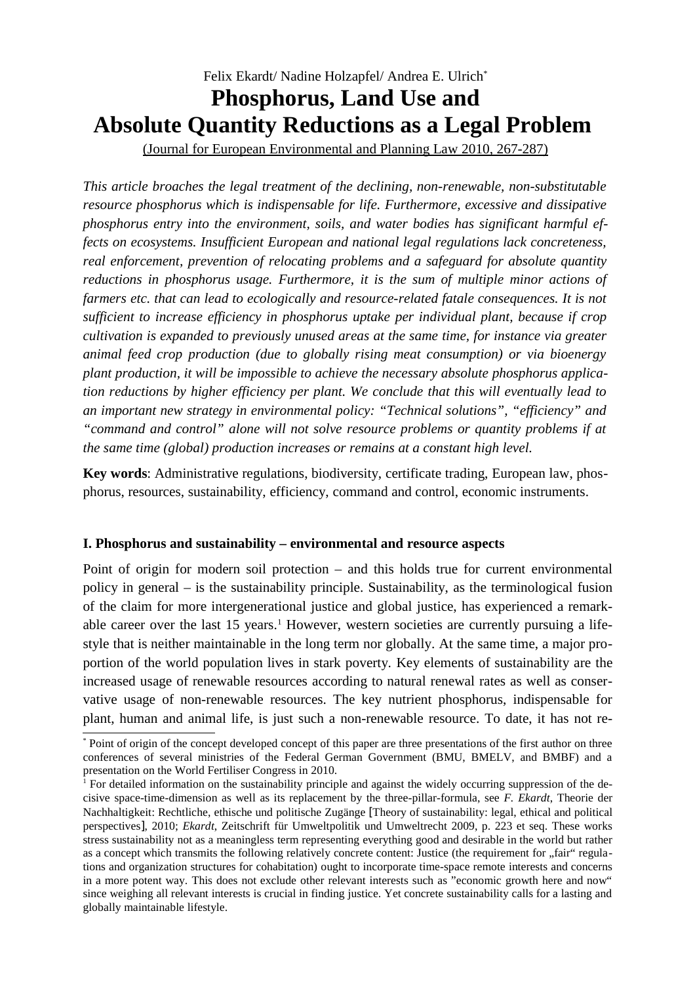# Felix Ekardt/ Nadine Holzapfel/ Andrea E. Ulrich\* **Phosphorus, Land Use and Absolute Quantity Reductions as a Legal Problem**

(Journal for European Environmental and Planning Law 2010, 267-287)

*This article broaches the legal treatment of the declining, non-renewable, non-substitutable resource phosphorus which is indispensable for life. Furthermore, excessive and dissipative phosphorus entry into the environment, soils, and water bodies has significant harmful effects on ecosystems. Insufficient European and national legal regulations lack concreteness, real enforcement, prevention of relocating problems and a safeguard for absolute quantity reductions in phosphorus usage. Furthermore, it is the sum of multiple minor actions of farmers etc. that can lead to ecologically and resource-related fatale consequences. It is not sufficient to increase efficiency in phosphorus uptake per individual plant, because if crop cultivation is expanded to previously unused areas at the same time, for instance via greater animal feed crop production (due to globally rising meat consumption) or via bioenergy plant production, it will be impossible to achieve the necessary absolute phosphorus application reductions by higher efficiency per plant. We conclude that this will eventually lead to an important new strategy in environmental policy: "Technical solutions", "efficiency" and "command and control" alone will not solve resource problems or quantity problems if at the same time (global) production increases or remains at a constant high level.* 

**Key words**: Administrative regulations, biodiversity, certificate trading, European law, phosphorus, resources, sustainability, efficiency, command and control, economic instruments.

### **I. Phosphorus and sustainability – environmental and resource aspects**

Point of origin for modern soil protection – and this holds true for current environmental policy in general – is the sustainability principle. Sustainability, as the terminological fusion of the claim for more intergenerational justice and global justice, has experienced a remarkable career over the last 15 years.<sup>1</sup> However, western societies are currently pursuing a lifestyle that is neither maintainable in the long term nor globally. At the same time, a major proportion of the world population lives in stark poverty. Key elements of sustainability are the increased usage of renewable resources according to natural renewal rates as well as conservative usage of non-renewable resources. The key nutrient phosphorus, indispensable for plant, human and animal life, is just such a non-renewable resource. To date, it has not re-

<sup>\*</sup> Point of origin of the concept developed concept of this paper are three presentations of the first author on three conferences of several ministries of the Federal German Government (BMU, BMELV, and BMBF) and a presentation on the World Fertiliser Congress in 2010.

<sup>&</sup>lt;sup>1</sup> For detailed information on the sustainability principle and against the widely occurring suppression of the decisive space-time-dimension as well as its replacement by the three-pillar-formula, see *F. Ekardt*, Theorie der Nachhaltigkeit: Rechtliche, ethische und politische Zugänge [Theory of sustainability: legal, ethical and political perspectives], 2010; *Ekardt*, Zeitschrift für Umweltpolitik und Umweltrecht 2009, p. 223 et seq. These works stress sustainability not as a meaningless term representing everything good and desirable in the world but rather as a concept which transmits the following relatively concrete content: Justice (the requirement for "fair" regulations and organization structures for cohabitation) ought to incorporate time-space remote interests and concerns in a more potent way. This does not exclude other relevant interests such as "economic growth here and now" since weighing all relevant interests is crucial in finding justice. Yet concrete sustainability calls for a lasting and globally maintainable lifestyle.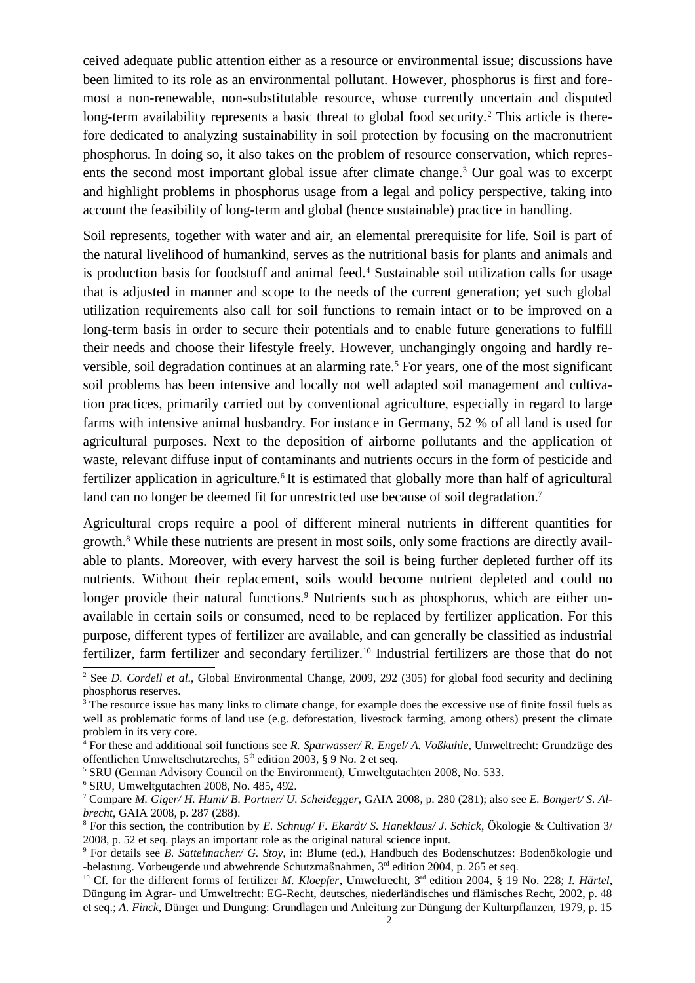ceived adequate public attention either as a resource or environmental issue; discussions have been limited to its role as an environmental pollutant. However, phosphorus is first and foremost a non-renewable, non-substitutable resource, whose currently uncertain and disputed long-term availability represents a basic threat to global food security.<sup>2</sup> This article is therefore dedicated to analyzing sustainability in soil protection by focusing on the macronutrient phosphorus. In doing so, it also takes on the problem of resource conservation, which represents the second most important global issue after climate change.<sup>3</sup> Our goal was to excerpt and highlight problems in phosphorus usage from a legal and policy perspective, taking into account the feasibility of long-term and global (hence sustainable) practice in handling.

Soil represents, together with water and air, an elemental prerequisite for life. Soil is part of the natural livelihood of humankind, serves as the nutritional basis for plants and animals and is production basis for foodstuff and animal feed.<sup>4</sup> Sustainable soil utilization calls for usage that is adjusted in manner and scope to the needs of the current generation; yet such global utilization requirements also call for soil functions to remain intact or to be improved on a long-term basis in order to secure their potentials and to enable future generations to fulfill their needs and choose their lifestyle freely. However, unchangingly ongoing and hardly reversible, soil degradation continues at an alarming rate.<sup>5</sup> For years, one of the most significant soil problems has been intensive and locally not well adapted soil management and cultivation practices, primarily carried out by conventional agriculture, especially in regard to large farms with intensive animal husbandry. For instance in Germany, 52 % of all land is used for agricultural purposes. Next to the deposition of airborne pollutants and the application of waste, relevant diffuse input of contaminants and nutrients occurs in the form of pesticide and fertilizer application in agriculture.<sup>6</sup>It is estimated that globally more than half of agricultural land can no longer be deemed fit for unrestricted use because of soil degradation.<sup>7</sup>

Agricultural crops require a pool of different mineral nutrients in different quantities for growth.<sup>8</sup> While these nutrients are present in most soils, only some fractions are directly available to plants. Moreover, with every harvest the soil is being further depleted further off its nutrients. Without their replacement, soils would become nutrient depleted and could no longer provide their natural functions.<sup>9</sup> Nutrients such as phosphorus, which are either unavailable in certain soils or consumed, need to be replaced by fertilizer application. For this purpose, different types of fertilizer are available, and can generally be classified as industrial fertilizer, farm fertilizer and secondary fertilizer.<sup>10</sup> Industrial fertilizers are those that do not

<sup>2</sup> See *D. Cordell et al*., Global Environmental Change, 2009, 292 (305) for global food security and declining phosphorus reserves.

<sup>&</sup>lt;sup>3</sup> The resource issue has many links to climate change, for example does the excessive use of finite fossil fuels as well as problematic forms of land use (e.g. deforestation, livestock farming, among others) present the climate problem in its very core.

<sup>4</sup> For these and additional soil functions see *R. Sparwasser/ R. Engel/ A. Voßkuhle*, Umweltrecht: Grundzüge des öffentlichen Umweltschutzrechts,  $5<sup>th</sup>$  edition 2003, § 9 No. 2 et seq.

<sup>5</sup> SRU (German Advisory Council on the Environment), Umweltgutachten 2008, No. 533.

<sup>6</sup> SRU, Umweltgutachten 2008, No. 485, 492.

<sup>7</sup> Compare *M. Giger/ H. Humi/ B. Portner/ U. Scheidegger*, GAIA 2008, p. 280 (281); also see *E. Bongert/ S. Albrecht*, GAIA 2008, p. 287 (288).

<sup>8</sup> For this section, the contribution by *E. Schnug/ F. Ekardt/ S. Haneklaus/ J. Schick*, Ökologie & Cultivation 3/ 2008, p. 52 et seq. plays an important role as the original natural science input.

<sup>9</sup> For details see *B. Sattelmacher/ G. Stoy*, in: Blume (ed.), Handbuch des Bodenschutzes: Bodenökologie und -belastung. Vorbeugende und abwehrende Schutzmaßnahmen, 3<sup>rd</sup> edition 2004, p. 265 et seq.

<sup>&</sup>lt;sup>10</sup> Cf. for the different forms of fertilizer *M. Kloepfer*, Umweltrecht, 3<sup>rd</sup> edition 2004, § 19 No. 228; *I. Härtel*, Düngung im Agrar- und Umweltrecht: EG-Recht, deutsches, niederländisches und flämisches Recht, 2002, p. 48 et seq.; *A. Finck*, Dünger und Düngung: Grundlagen und Anleitung zur Düngung der Kulturpflanzen, 1979, p. 15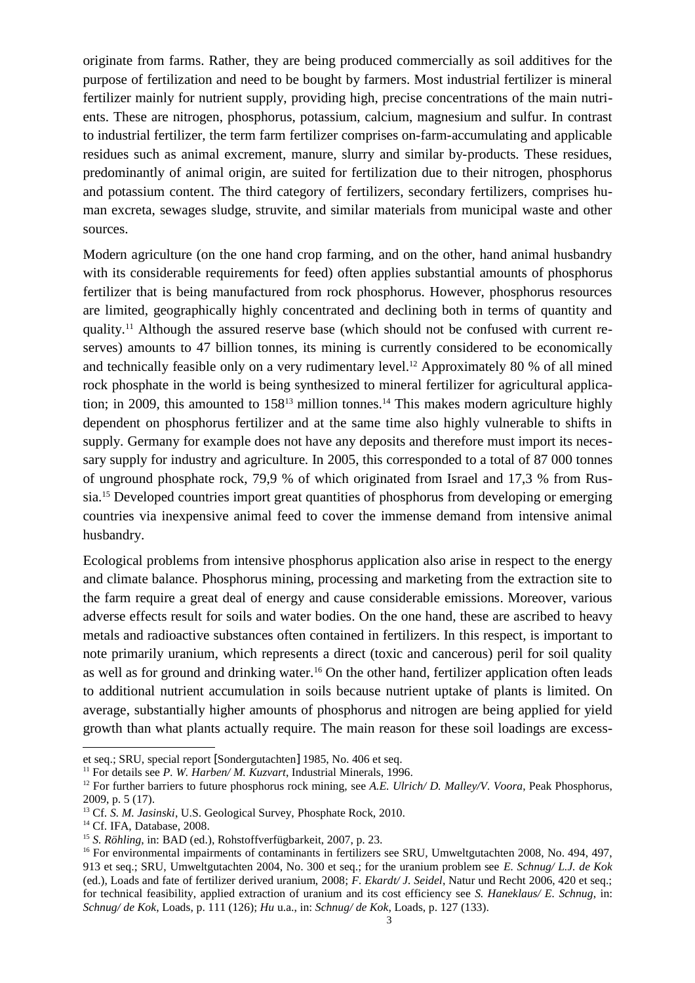originate from farms. Rather, they are being produced commercially as soil additives for the purpose of fertilization and need to be bought by farmers. Most industrial fertilizer is mineral fertilizer mainly for nutrient supply, providing high, precise concentrations of the main nutrients. These are nitrogen, phosphorus, potassium, calcium, magnesium and sulfur. In contrast to industrial fertilizer, the term farm fertilizer comprises on-farm-accumulating and applicable residues such as animal excrement, manure, slurry and similar by-products. These residues, predominantly of animal origin, are suited for fertilization due to their nitrogen, phosphorus and potassium content. The third category of fertilizers, secondary fertilizers, comprises human excreta, sewages sludge, struvite, and similar materials from municipal waste and other sources.

Modern agriculture (on the one hand crop farming, and on the other, hand animal husbandry with its considerable requirements for feed) often applies substantial amounts of phosphorus fertilizer that is being manufactured from rock phosphorus. However, phosphorus resources are limited, geographically highly concentrated and declining both in terms of quantity and quality.<sup>11</sup> Although the assured reserve base (which should not be confused with current reserves) amounts to 47 billion tonnes, its mining is currently considered to be economically and technically feasible only on a very rudimentary level.<sup>12</sup> Approximately 80 % of all mined rock phosphate in the world is being synthesized to mineral fertilizer for agricultural application; in 2009, this amounted to  $158^{13}$  million tonnes.<sup>14</sup> This makes modern agriculture highly dependent on phosphorus fertilizer and at the same time also highly vulnerable to shifts in supply. Germany for example does not have any deposits and therefore must import its necessary supply for industry and agriculture. In 2005, this corresponded to a total of 87 000 tonnes of unground phosphate rock, 79,9 % of which originated from Israel and 17,3 % from Russia.<sup>15</sup> Developed countries import great quantities of phosphorus from developing or emerging countries via inexpensive animal feed to cover the immense demand from intensive animal husbandry.

Ecological problems from intensive phosphorus application also arise in respect to the energy and climate balance. Phosphorus mining, processing and marketing from the extraction site to the farm require a great deal of energy and cause considerable emissions. Moreover, various adverse effects result for soils and water bodies. On the one hand, these are ascribed to heavy metals and radioactive substances often contained in fertilizers. In this respect, is important to note primarily uranium, which represents a direct (toxic and cancerous) peril for soil quality as well as for ground and drinking water.<sup>16</sup> On the other hand, fertilizer application often leads to additional nutrient accumulation in soils because nutrient uptake of plants is limited. On average, substantially higher amounts of phosphorus and nitrogen are being applied for yield growth than what plants actually require. The main reason for these soil loadings are excess-

et seq.; SRU, special report [Sondergutachten] 1985, No. 406 et seq.

<sup>11</sup> For details see *P. W. Harben/ M. Kuzvart*, Industrial Minerals, 1996.

<sup>12</sup> For further barriers to future phosphorus rock mining, see *A.E. Ulrich/ D. Malley/V. Voora*, Peak Phosphorus, 2009, p. 5 (17).

<sup>13</sup> Cf. *S. M. Jasinski*, U.S. Geological Survey, Phosphate Rock, 2010.

<sup>&</sup>lt;sup>14</sup> Cf. IFA, Database, 2008.

<sup>15</sup> *S. Röhling*, in: BAD (ed.), Rohstoffverfügbarkeit, 2007, p. 23.

<sup>&</sup>lt;sup>16</sup> For environmental impairments of contaminants in fertilizers see SRU, Umweltgutachten 2008, No. 494, 497, 913 et seq.; SRU, Umweltgutachten 2004, No. 300 et seq.; for the uranium problem see *E. Schnug/ L.J. de Kok* (ed.), Loads and fate of fertilizer derived uranium, 2008; *F. Ekardt/ J. Seidel*, Natur und Recht 2006, 420 et seq.; for technical feasibility, applied extraction of uranium and its cost efficiency see *S. Haneklaus/ E. Schnug*, in: *Schnug/ de Kok*, Loads, p. 111 (126); *Hu* u.a., in: *Schnug/ de Kok*, Loads, p. 127 (133).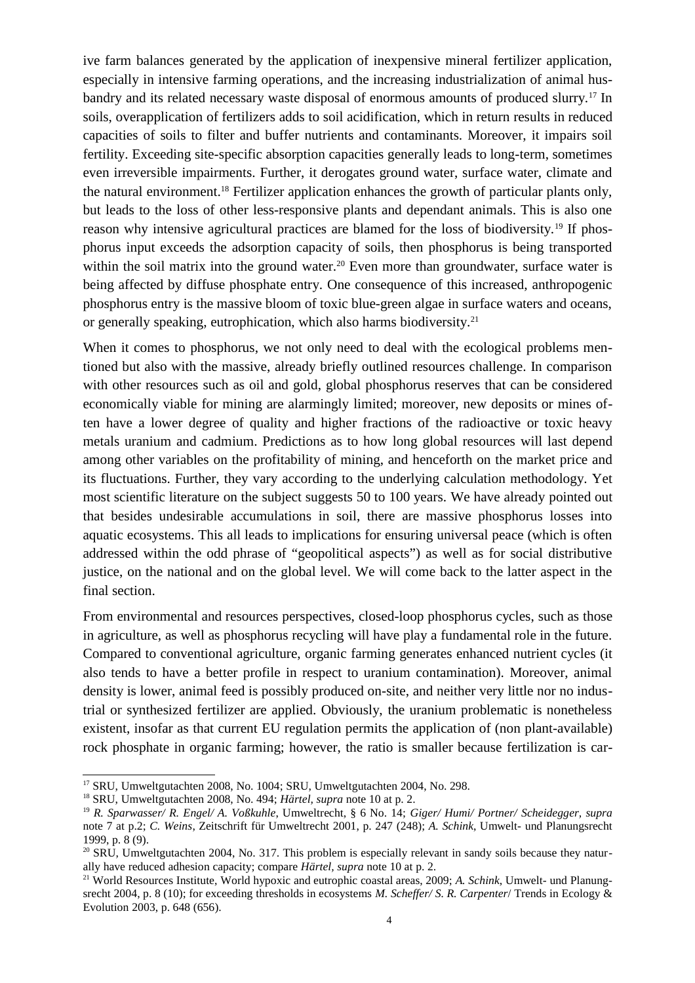ive farm balances generated by the application of inexpensive mineral fertilizer application, especially in intensive farming operations, and the increasing industrialization of animal husbandry and its related necessary waste disposal of enormous amounts of produced slurry.<sup>17</sup> In soils, overapplication of fertilizers adds to soil acidification, which in return results in reduced capacities of soils to filter and buffer nutrients and contaminants. Moreover, it impairs soil fertility. Exceeding site-specific absorption capacities generally leads to long-term, sometimes even irreversible impairments. Further, it derogates ground water, surface water, climate and the natural environment.<sup>18</sup> Fertilizer application enhances the growth of particular plants only, but leads to the loss of other less-responsive plants and dependant animals. This is also one reason why intensive agricultural practices are blamed for the loss of biodiversity.19 If phosphorus input exceeds the adsorption capacity of soils, then phosphorus is being transported within the soil matrix into the ground water.<sup>20</sup> Even more than groundwater, surface water is being affected by diffuse phosphate entry. One consequence of this increased, anthropogenic phosphorus entry is the massive bloom of toxic blue-green algae in surface waters and oceans, or generally speaking, eutrophication, which also harms biodiversity.<sup>21</sup>

When it comes to phosphorus, we not only need to deal with the ecological problems mentioned but also with the massive, already briefly outlined resources challenge. In comparison with other resources such as oil and gold, global phosphorus reserves that can be considered economically viable for mining are alarmingly limited; moreover, new deposits or mines often have a lower degree of quality and higher fractions of the radioactive or toxic heavy metals uranium and cadmium. Predictions as to how long global resources will last depend among other variables on the profitability of mining, and henceforth on the market price and its fluctuations. Further, they vary according to the underlying calculation methodology. Yet most scientific literature on the subject suggests 50 to 100 years. We have already pointed out that besides undesirable accumulations in soil, there are massive phosphorus losses into aquatic ecosystems. This all leads to implications for ensuring universal peace (which is often addressed within the odd phrase of "geopolitical aspects") as well as for social distributive justice, on the national and on the global level. We will come back to the latter aspect in the final section.

From environmental and resources perspectives, closed-loop phosphorus cycles, such as those in agriculture, as well as phosphorus recycling will have play a fundamental role in the future. Compared to conventional agriculture, organic farming generates enhanced nutrient cycles (it also tends to have a better profile in respect to uranium contamination). Moreover, animal density is lower, animal feed is possibly produced on-site, and neither very little nor no industrial or synthesized fertilizer are applied. Obviously, the uranium problematic is nonetheless existent, insofar as that current EU regulation permits the application of (non plant-available) rock phosphate in organic farming; however, the ratio is smaller because fertilization is car-

<sup>17</sup> SRU, Umweltgutachten 2008, No. 1004; SRU, Umweltgutachten 2004, No. 298.

<sup>18</sup> SRU, Umweltgutachten 2008, No. 494; *Härtel, supra* note 10 at p. 2.

<sup>19</sup> *R. Sparwasser/ R. Engel/ A. Voßkuhle*, Umweltrecht, § 6 No. 14; *Giger/ Humi/ Portner/ Scheidegger, supra* note 7 at p.2; *C. Weins*, Zeitschrift für Umweltrecht 2001, p. 247 (248); *A. Schink*, Umwelt- und Planungsrecht 1999, p. 8 (9).

<sup>&</sup>lt;sup>20</sup> SRU, Umweltgutachten 2004, No. 317. This problem is especially relevant in sandy soils because they naturally have reduced adhesion capacity; compare *Härtel, supra* note 10 at p. 2.

<sup>21</sup> World Resources Institute, World hypoxic and eutrophic coastal areas, 2009; *A. Schink*, Umwelt- und Planungsrecht 2004, p. 8 (10); for exceeding thresholds in ecosystems *M. Scheffer/ S. R. Carpenter*/ Trends in Ecology & Evolution 2003, p. 648 (656).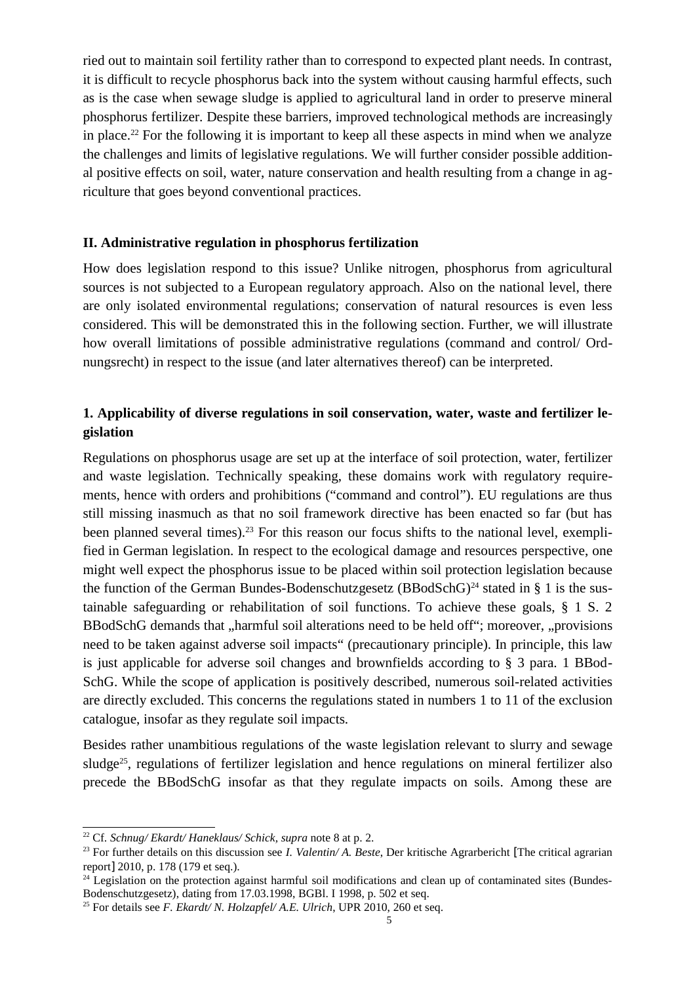ried out to maintain soil fertility rather than to correspond to expected plant needs. In contrast, it is difficult to recycle phosphorus back into the system without causing harmful effects, such as is the case when sewage sludge is applied to agricultural land in order to preserve mineral phosphorus fertilizer. Despite these barriers, improved technological methods are increasingly in place.<sup>22</sup> For the following it is important to keep all these aspects in mind when we analyze the challenges and limits of legislative regulations. We will further consider possible additional positive effects on soil, water, nature conservation and health resulting from a change in agriculture that goes beyond conventional practices.

#### **II. Administrative regulation in phosphorus fertilization**

How does legislation respond to this issue? Unlike nitrogen, phosphorus from agricultural sources is not subjected to a European regulatory approach. Also on the national level, there are only isolated environmental regulations; conservation of natural resources is even less considered. This will be demonstrated this in the following section. Further, we will illustrate how overall limitations of possible administrative regulations (command and control/ Ordnungsrecht) in respect to the issue (and later alternatives thereof) can be interpreted.

### **1. Applicability of diverse regulations in soil conservation, water, waste and fertilizer legislation**

Regulations on phosphorus usage are set up at the interface of soil protection, water, fertilizer and waste legislation. Technically speaking, these domains work with regulatory requirements, hence with orders and prohibitions ("command and control"). EU regulations are thus still missing inasmuch as that no soil framework directive has been enacted so far (but has been planned several times).<sup>23</sup> For this reason our focus shifts to the national level, exemplified in German legislation. In respect to the ecological damage and resources perspective, one might well expect the phosphorus issue to be placed within soil protection legislation because the function of the German Bundes-Bodenschutzgesetz (BBodSchG)<sup>24</sup> stated in § 1 is the sustainable safeguarding or rehabilitation of soil functions. To achieve these goals, § 1 S. 2 BBodSchG demands that "harmful soil alterations need to be held off"; moreover, "provisions need to be taken against adverse soil impacts" (precautionary principle). In principle, this law is just applicable for adverse soil changes and brownfields according to § 3 para. 1 BBod-SchG. While the scope of application is positively described, numerous soil-related activities are directly excluded. This concerns the regulations stated in numbers 1 to 11 of the exclusion catalogue, insofar as they regulate soil impacts.

Besides rather unambitious regulations of the waste legislation relevant to slurry and sewage sludge<sup>25</sup>, regulations of fertilizer legislation and hence regulations on mineral fertilizer also precede the BBodSchG insofar as that they regulate impacts on soils. Among these are

<sup>22</sup> Cf. *Schnug/ Ekardt/ Haneklaus/ Schick, supra* note 8 at p. 2.

<sup>23</sup> For further details on this discussion see *I. Valentin/ A. Beste*, Der kritische Agrarbericht [The critical agrarian report] 2010, p. 178 (179 et seq.).

 $24$  Legislation on the protection against harmful soil modifications and clean up of contaminated sites (Bundes-Bodenschutzgesetz), dating from 17.03.1998, BGBl. I 1998, p. 502 et seq.

<sup>25</sup> For details see *F. Ekardt/ N. Holzapfel/ A.E. Ulrich*, UPR 2010, 260 et seq.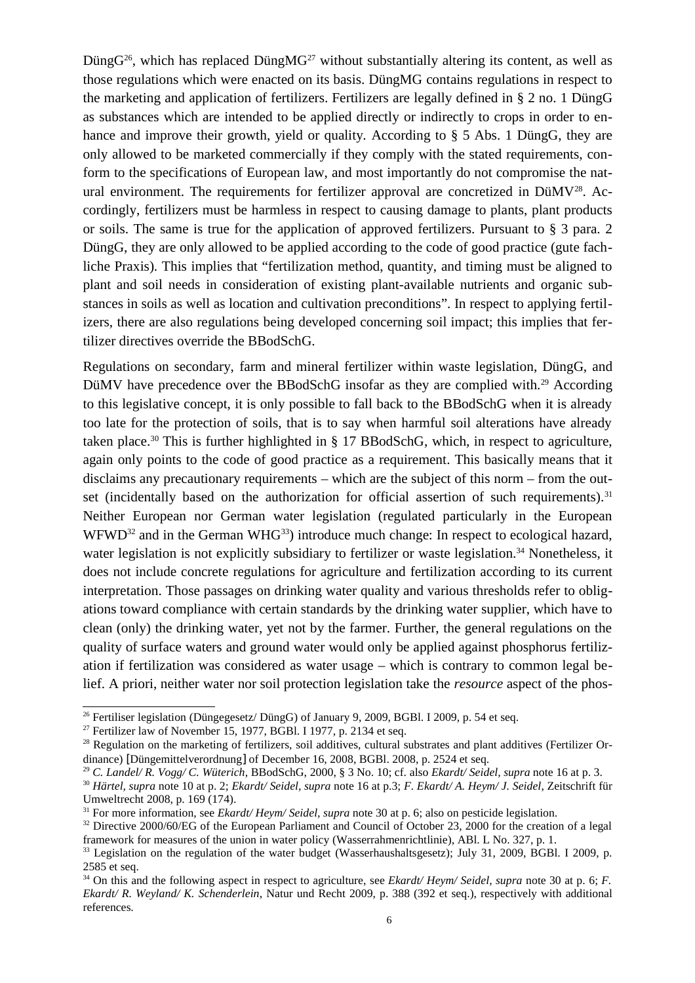Düng $G^{26}$ , which has replaced Düng $MG^{27}$  without substantially altering its content, as well as those regulations which were enacted on its basis. DüngMG contains regulations in respect to the marketing and application of fertilizers. Fertilizers are legally defined in § 2 no. 1 DüngG as substances which are intended to be applied directly or indirectly to crops in order to enhance and improve their growth, yield or quality. According to § 5 Abs. 1 DüngG, they are only allowed to be marketed commercially if they comply with the stated requirements, conform to the specifications of European law, and most importantly do not compromise the natural environment. The requirements for fertilizer approval are concretized in  $DiMV<sup>28</sup>$ . Accordingly, fertilizers must be harmless in respect to causing damage to plants, plant products or soils. The same is true for the application of approved fertilizers. Pursuant to § 3 para. 2 DüngG, they are only allowed to be applied according to the code of good practice (gute fachliche Praxis). This implies that "fertilization method, quantity, and timing must be aligned to plant and soil needs in consideration of existing plant-available nutrients and organic substances in soils as well as location and cultivation preconditions". In respect to applying fertilizers, there are also regulations being developed concerning soil impact; this implies that fertilizer directives override the BBodSchG.

Regulations on secondary, farm and mineral fertilizer within waste legislation, DüngG, and DüMV have precedence over the BBodSchG insofar as they are complied with.<sup>29</sup> According to this legislative concept, it is only possible to fall back to the BBodSchG when it is already too late for the protection of soils, that is to say when harmful soil alterations have already taken place.<sup>30</sup> This is further highlighted in  $\S 17$  BBodSchG, which, in respect to agriculture, again only points to the code of good practice as a requirement. This basically means that it disclaims any precautionary requirements – which are the subject of this norm – from the outset (incidentally based on the authorization for official assertion of such requirements).<sup>31</sup> Neither European nor German water legislation (regulated particularly in the European WFWD<sup>32</sup> and in the German WHG<sup>33</sup>) introduce much change: In respect to ecological hazard, water legislation is not explicitly subsidiary to fertilizer or waste legislation.<sup>34</sup> Nonetheless, it does not include concrete regulations for agriculture and fertilization according to its current interpretation. Those passages on drinking water quality and various thresholds refer to obligations toward compliance with certain standards by the drinking water supplier, which have to clean (only) the drinking water, yet not by the farmer. Further, the general regulations on the quality of surface waters and ground water would only be applied against phosphorus fertilization if fertilization was considered as water usage – which is contrary to common legal belief. A priori, neither water nor soil protection legislation take the *resource* aspect of the phos-

<sup>&</sup>lt;sup>26</sup> Fertiliser legislation (Düngegesetz/ DüngG) of January 9, 2009, BGBl. I 2009, p. 54 et seq.

<sup>&</sup>lt;sup>27</sup> Fertilizer law of November 15, 1977, BGBl. I 1977, p. 2134 et seq.

<sup>&</sup>lt;sup>28</sup> Regulation on the marketing of fertilizers, soil additives, cultural substrates and plant additives (Fertilizer Ordinance) [Düngemittelverordnung] of December 16, 2008, BGBl. 2008, p. 2524 et seq.

<sup>29</sup> *C. Landel/ R. Vogg/ C. Wüterich*, BBodSchG, 2000, § 3 No. 10; cf. also *Ekardt/ Seidel, supra* note 16 at p. 3.

<sup>30</sup> *Härtel, supra* note 10 at p. 2; *Ekardt/ Seidel, supra* note 16 at p.3; *F. Ekardt/ A. Heym/ J. Seidel*, Zeitschrift für Umweltrecht 2008, p. 169 (174).

<sup>31</sup> For more information, see *Ekardt/ Heym/ Seidel, supra* note 30 at p. 6; also on pesticide legislation.

<sup>&</sup>lt;sup>32</sup> Directive 2000/60/EG of the European Parliament and Council of October 23, 2000 for the creation of a legal framework for measures of the union in water policy (Wasserrahmenrichtlinie), ABl. L No. 327, p. 1.

<sup>33</sup> Legislation on the regulation of the water budget (Wasserhaushaltsgesetz); July 31, 2009, BGBl. I 2009, p. 2585 et seq.

<sup>&</sup>lt;sup>34</sup> On this and the following aspect in respect to agriculture, see *Ekardt/ Heym/ Seidel, supra* note 30 at p. 6; *F. Ekardt/ R. Weyland/ K. Schenderlein*, Natur und Recht 2009, p. 388 (392 et seq.), respectively with additional references.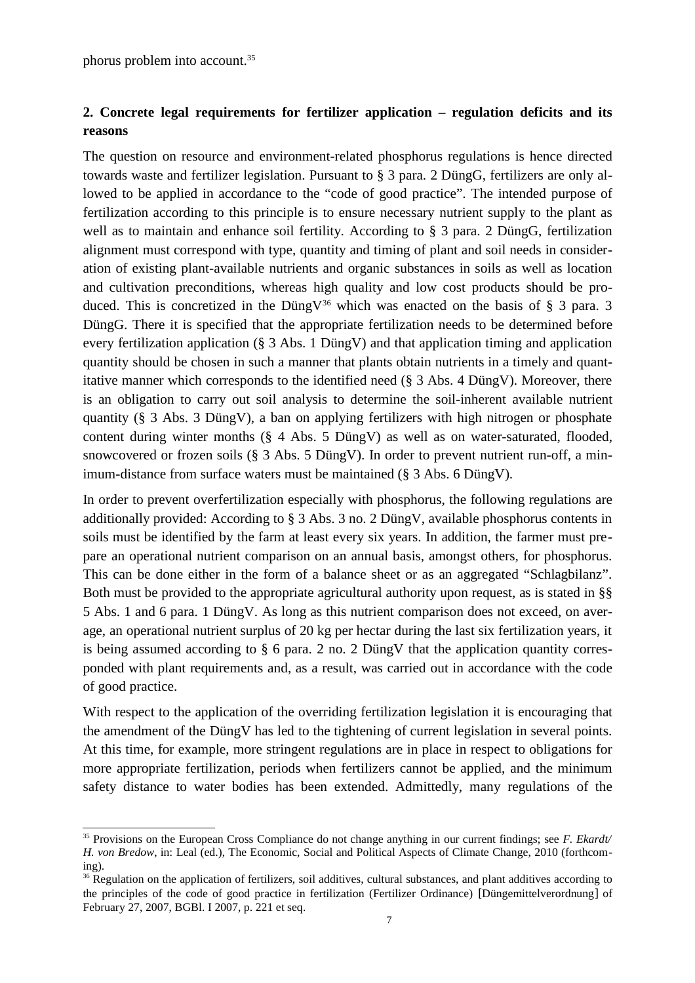phorus problem into account.<sup>35</sup>

## **2. Concrete legal requirements for fertilizer application – regulation deficits and its reasons**

The question on resource and environment-related phosphorus regulations is hence directed towards waste and fertilizer legislation. Pursuant to § 3 para. 2 DüngG, fertilizers are only allowed to be applied in accordance to the "code of good practice". The intended purpose of fertilization according to this principle is to ensure necessary nutrient supply to the plant as well as to maintain and enhance soil fertility. According to § 3 para. 2 DüngG, fertilization alignment must correspond with type, quantity and timing of plant and soil needs in consideration of existing plant-available nutrients and organic substances in soils as well as location and cultivation preconditions, whereas high quality and low cost products should be produced. This is concretized in the DüngV<sup>36</sup> which was enacted on the basis of § 3 para. 3 DüngG. There it is specified that the appropriate fertilization needs to be determined before every fertilization application (§ 3 Abs. 1 DüngV) and that application timing and application quantity should be chosen in such a manner that plants obtain nutrients in a timely and quantitative manner which corresponds to the identified need (§ 3 Abs. 4 DüngV). Moreover, there is an obligation to carry out soil analysis to determine the soil-inherent available nutrient quantity (§ 3 Abs. 3 DüngV), a ban on applying fertilizers with high nitrogen or phosphate content during winter months (§ 4 Abs. 5 DüngV) as well as on water-saturated, flooded, snowcovered or frozen soils (§ 3 Abs. 5 DüngV). In order to prevent nutrient run-off, a minimum-distance from surface waters must be maintained (§ 3 Abs. 6 DüngV).

In order to prevent overfertilization especially with phosphorus, the following regulations are additionally provided: According to § 3 Abs. 3 no. 2 DüngV, available phosphorus contents in soils must be identified by the farm at least every six years. In addition, the farmer must prepare an operational nutrient comparison on an annual basis, amongst others, for phosphorus. This can be done either in the form of a balance sheet or as an aggregated "Schlagbilanz". Both must be provided to the appropriate agricultural authority upon request, as is stated in §§ 5 Abs. 1 and 6 para. 1 DüngV. As long as this nutrient comparison does not exceed, on average, an operational nutrient surplus of 20 kg per hectar during the last six fertilization years, it is being assumed according to § 6 para. 2 no. 2 DüngV that the application quantity corresponded with plant requirements and, as a result, was carried out in accordance with the code of good practice.

With respect to the application of the overriding fertilization legislation it is encouraging that the amendment of the DüngV has led to the tightening of current legislation in several points. At this time, for example, more stringent regulations are in place in respect to obligations for more appropriate fertilization, periods when fertilizers cannot be applied, and the minimum safety distance to water bodies has been extended. Admittedly, many regulations of the

<sup>35</sup> Provisions on the European Cross Compliance do not change anything in our current findings; see *F. Ekardt/ H. von Bredow*, in: Leal (ed.), The Economic, Social and Political Aspects of Climate Change, 2010 (forthcoming).

 $36$  Regulation on the application of fertilizers, soil additives, cultural substances, and plant additives according to the principles of the code of good practice in fertilization (Fertilizer Ordinance) [Düngemittelverordnung] of February 27, 2007, BGBl. I 2007, p. 221 et seq.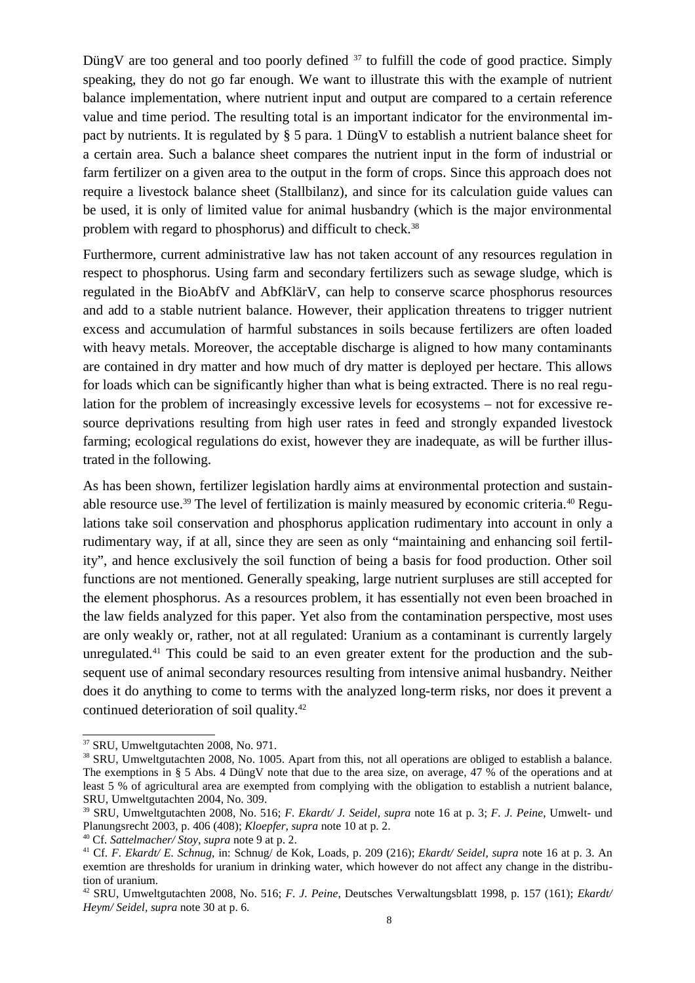DüngV are too general and too poorly defined  $37$  to fulfill the code of good practice. Simply speaking, they do not go far enough. We want to illustrate this with the example of nutrient balance implementation, where nutrient input and output are compared to a certain reference value and time period. The resulting total is an important indicator for the environmental impact by nutrients. It is regulated by § 5 para. 1 DüngV to establish a nutrient balance sheet for a certain area. Such a balance sheet compares the nutrient input in the form of industrial or farm fertilizer on a given area to the output in the form of crops. Since this approach does not require a livestock balance sheet (Stallbilanz), and since for its calculation guide values can be used, it is only of limited value for animal husbandry (which is the major environmental problem with regard to phosphorus) and difficult to check.<sup>38</sup>

Furthermore, current administrative law has not taken account of any resources regulation in respect to phosphorus. Using farm and secondary fertilizers such as sewage sludge, which is regulated in the BioAbfV and AbfKlärV, can help to conserve scarce phosphorus resources and add to a stable nutrient balance. However, their application threatens to trigger nutrient excess and accumulation of harmful substances in soils because fertilizers are often loaded with heavy metals. Moreover, the acceptable discharge is aligned to how many contaminants are contained in dry matter and how much of dry matter is deployed per hectare. This allows for loads which can be significantly higher than what is being extracted. There is no real regulation for the problem of increasingly excessive levels for ecosystems – not for excessive resource deprivations resulting from high user rates in feed and strongly expanded livestock farming; ecological regulations do exist, however they are inadequate, as will be further illustrated in the following.

As has been shown, fertilizer legislation hardly aims at environmental protection and sustainable resource use.<sup>39</sup> The level of fertilization is mainly measured by economic criteria.<sup>40</sup> Regulations take soil conservation and phosphorus application rudimentary into account in only a rudimentary way, if at all, since they are seen as only "maintaining and enhancing soil fertility", and hence exclusively the soil function of being a basis for food production. Other soil functions are not mentioned. Generally speaking, large nutrient surpluses are still accepted for the element phosphorus. As a resources problem, it has essentially not even been broached in the law fields analyzed for this paper. Yet also from the contamination perspective, most uses are only weakly or, rather, not at all regulated: Uranium as a contaminant is currently largely unregulated.41 This could be said to an even greater extent for the production and the subsequent use of animal secondary resources resulting from intensive animal husbandry. Neither does it do anything to come to terms with the analyzed long-term risks, nor does it prevent a continued deterioration of soil quality.<sup>42</sup>

<sup>37</sup> SRU, Umweltgutachten 2008, No. 971.

<sup>&</sup>lt;sup>38</sup> SRU, Umweltgutachten 2008, No. 1005. Apart from this, not all operations are obliged to establish a balance. The exemptions in § 5 Abs. 4 DüngV note that due to the area size, on average, 47 % of the operations and at least 5 % of agricultural area are exempted from complying with the obligation to establish a nutrient balance, SRU, Umweltgutachten 2004, No. 309.

<sup>39</sup> SRU, Umweltgutachten 2008, No. 516; *F. Ekardt/ J. Seidel, supra* note 16 at p. 3; *F. J. Peine*, Umwelt- und Planungsrecht 2003, p. 406 (408); *Kloepfer, supra* note 10 at p. 2.

<sup>40</sup> Cf. *Sattelmacher/ Stoy, supra* note 9 at p. 2.

<sup>41</sup> Cf. *F. Ekardt/ E. Schnug*, in: Schnug/ de Kok, Loads, p. 209 (216); *Ekardt/ Seidel, supra* note 16 at p. 3. An exemtion are thresholds for uranium in drinking water, which however do not affect any change in the distribution of uranium.

<sup>42</sup> SRU, Umweltgutachten 2008, No. 516; *F. J. Peine*, Deutsches Verwaltungsblatt 1998, p. 157 (161); *Ekardt/ Heym/ Seidel, supra* note 30 at p. 6.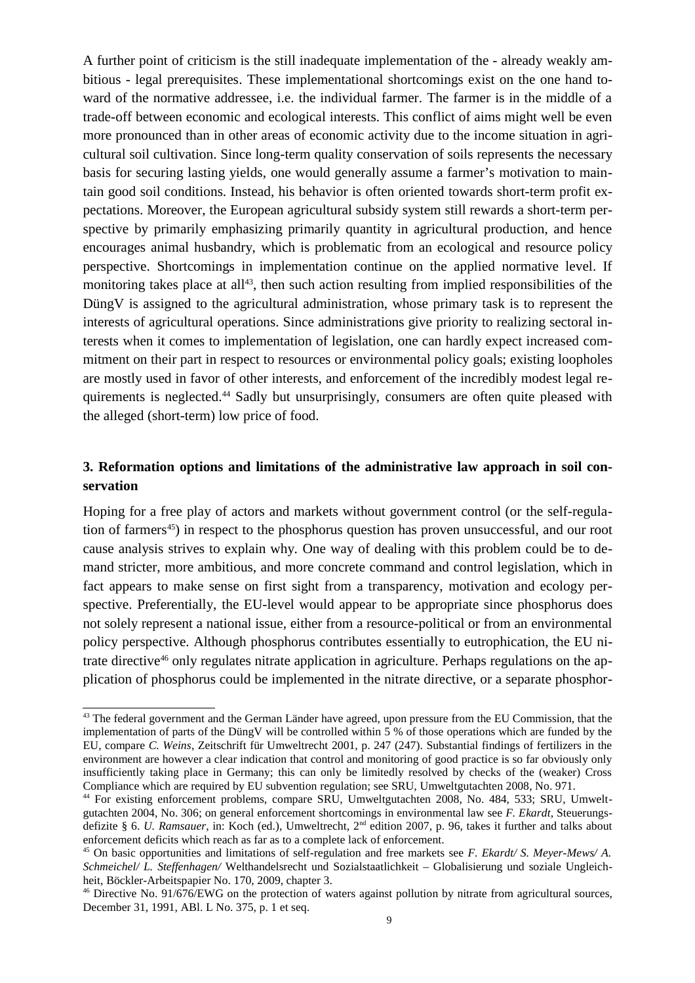A further point of criticism is the still inadequate implementation of the - already weakly ambitious - legal prerequisites. These implementational shortcomings exist on the one hand toward of the normative addressee, i.e. the individual farmer. The farmer is in the middle of a trade-off between economic and ecological interests. This conflict of aims might well be even more pronounced than in other areas of economic activity due to the income situation in agricultural soil cultivation. Since long-term quality conservation of soils represents the necessary basis for securing lasting yields, one would generally assume a farmer's motivation to maintain good soil conditions. Instead, his behavior is often oriented towards short-term profit expectations. Moreover, the European agricultural subsidy system still rewards a short-term perspective by primarily emphasizing primarily quantity in agricultural production, and hence encourages animal husbandry, which is problematic from an ecological and resource policy perspective. Shortcomings in implementation continue on the applied normative level. If monitoring takes place at all<sup>43</sup>, then such action resulting from implied responsibilities of the DüngV is assigned to the agricultural administration, whose primary task is to represent the interests of agricultural operations. Since administrations give priority to realizing sectoral interests when it comes to implementation of legislation, one can hardly expect increased commitment on their part in respect to resources or environmental policy goals; existing loopholes are mostly used in favor of other interests, and enforcement of the incredibly modest legal requirements is neglected.<sup>44</sup> Sadly but unsurprisingly, consumers are often quite pleased with the alleged (short-term) low price of food.

#### **3. Reformation options and limitations of the administrative law approach in soil conservation**

Hoping for a free play of actors and markets without government control (or the self-regulation of farmers<sup>45</sup>) in respect to the phosphorus question has proven unsuccessful, and our root cause analysis strives to explain why. One way of dealing with this problem could be to demand stricter, more ambitious, and more concrete command and control legislation, which in fact appears to make sense on first sight from a transparency, motivation and ecology perspective. Preferentially, the EU-level would appear to be appropriate since phosphorus does not solely represent a national issue, either from a resource-political or from an environmental policy perspective. Although phosphorus contributes essentially to eutrophication, the EU nitrate directive<sup>46</sup> only regulates nitrate application in agriculture. Perhaps regulations on the application of phosphorus could be implemented in the nitrate directive, or a separate phosphor-

<sup>&</sup>lt;sup>43</sup> The federal government and the German Länder have agreed, upon pressure from the EU Commission, that the implementation of parts of the DüngV will be controlled within 5 % of those operations which are funded by the EU, compare *C. Weins*, Zeitschrift für Umweltrecht 2001, p. 247 (247). Substantial findings of fertilizers in the environment are however a clear indication that control and monitoring of good practice is so far obviously only insufficiently taking place in Germany; this can only be limitedly resolved by checks of the (weaker) Cross Compliance which are required by EU subvention regulation; see SRU, Umweltgutachten 2008, No. 971.

<sup>&</sup>lt;sup>44</sup> For existing enforcement problems, compare SRU, Umweltgutachten 2008, No. 484, 533; SRU, Umweltgutachten 2004, No. 306; on general enforcement shortcomings in environmental law see *F. Ekardt*, Steuerungsdefizite § 6. *U. Ramsauer*, in: Koch (ed.), Umweltrecht, 2<sup>nd</sup> edition 2007, p. 96, takes it further and talks about enforcement deficits which reach as far as to a complete lack of enforcement.

<sup>45</sup> On basic opportunities and limitations of self-regulation and free markets see *F. Ekardt/ S. Meyer-Mews/ A. Schmeichel/ L. Steffenhagen/* Welthandelsrecht und Sozialstaatlichkeit – Globalisierung und soziale Ungleichheit, Böckler-Arbeitspapier No. 170, 2009, chapter 3.

<sup>&</sup>lt;sup>46</sup> Directive No. 91/676/EWG on the protection of waters against pollution by nitrate from agricultural sources, December 31, 1991, ABl. L No. 375, p. 1 et seq.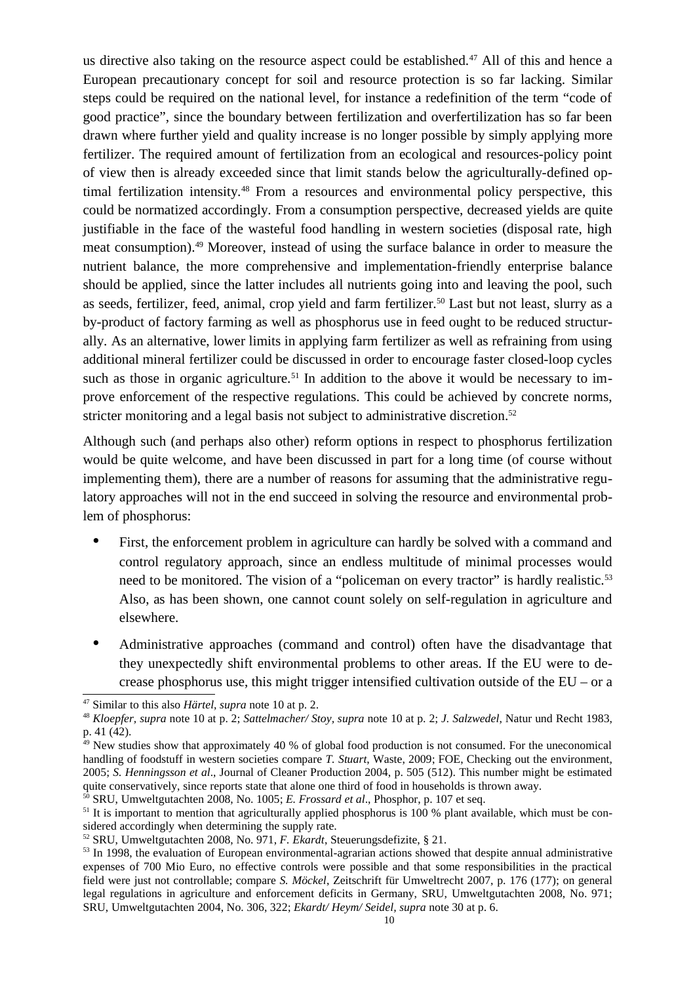us directive also taking on the resource aspect could be established.<sup>47</sup> All of this and hence a European precautionary concept for soil and resource protection is so far lacking. Similar steps could be required on the national level, for instance a redefinition of the term "code of good practice", since the boundary between fertilization and overfertilization has so far been drawn where further yield and quality increase is no longer possible by simply applying more fertilizer. The required amount of fertilization from an ecological and resources-policy point of view then is already exceeded since that limit stands below the agriculturally-defined optimal fertilization intensity.<sup>48</sup> From a resources and environmental policy perspective, this could be normatized accordingly. From a consumption perspective, decreased yields are quite justifiable in the face of the wasteful food handling in western societies (disposal rate, high meat consumption).<sup>49</sup> Moreover, instead of using the surface balance in order to measure the nutrient balance, the more comprehensive and implementation-friendly enterprise balance should be applied, since the latter includes all nutrients going into and leaving the pool, such as seeds, fertilizer, feed, animal, crop yield and farm fertilizer.<sup>50</sup> Last but not least, slurry as a by-product of factory farming as well as phosphorus use in feed ought to be reduced structurally. As an alternative, lower limits in applying farm fertilizer as well as refraining from using additional mineral fertilizer could be discussed in order to encourage faster closed-loop cycles such as those in organic agriculture.<sup>51</sup> In addition to the above it would be necessary to improve enforcement of the respective regulations. This could be achieved by concrete norms, stricter monitoring and a legal basis not subject to administrative discretion.<sup>52</sup>

Although such (and perhaps also other) reform options in respect to phosphorus fertilization would be quite welcome, and have been discussed in part for a long time (of course without implementing them), there are a number of reasons for assuming that the administrative regulatory approaches will not in the end succeed in solving the resource and environmental problem of phosphorus:

- First, the enforcement problem in agriculture can hardly be solved with a command and control regulatory approach, since an endless multitude of minimal processes would need to be monitored. The vision of a "policeman on every tractor" is hardly realistic.<sup>53</sup> Also, as has been shown, one cannot count solely on self-regulation in agriculture and elsewhere.
- Administrative approaches (command and control) often have the disadvantage that they unexpectedly shift environmental problems to other areas. If the EU were to decrease phosphorus use, this might trigger intensified cultivation outside of the  $EU$  – or a

<sup>47</sup> Similar to this also *Härtel, supra* note 10 at p. 2.

<sup>48</sup> *Kloepfer, supra* note 10 at p. 2; *Sattelmacher/ Stoy, supra* note 10 at p. 2; *J. Salzwedel*, Natur und Recht 1983, p. 41 (42).

 $49$  New studies show that approximately 40 % of global food production is not consumed. For the uneconomical handling of foodstuff in western societies compare *T. Stuart*, Waste, 2009; FOE, Checking out the environment, 2005; *S. Henningsson et al*., Journal of Cleaner Production 2004, p. 505 (512). This number might be estimated quite conservatively, since reports state that alone one third of food in households is thrown away.

<sup>50</sup> SRU, Umweltgutachten 2008, No. 1005; *E. Frossard et al*., Phosphor, p. 107 et seq.

 $51$  It is important to mention that agriculturally applied phosphorus is 100 % plant available, which must be considered accordingly when determining the supply rate.

<sup>52</sup> SRU, Umweltgutachten 2008, No. 971, *F. Ekardt*, Steuerungsdefizite, § 21.

<sup>&</sup>lt;sup>53</sup> In 1998, the evaluation of European environmental-agrarian actions showed that despite annual administrative expenses of 700 Mio Euro, no effective controls were possible and that some responsibilities in the practical field were just not controllable; compare *S. Möckel*, Zeitschrift für Umweltrecht 2007, p. 176 (177); on general legal regulations in agriculture and enforcement deficits in Germany, SRU, Umweltgutachten 2008, No. 971; SRU, Umweltgutachten 2004, No. 306, 322; *Ekardt/ Heym/ Seidel, supra* note 30 at p. 6.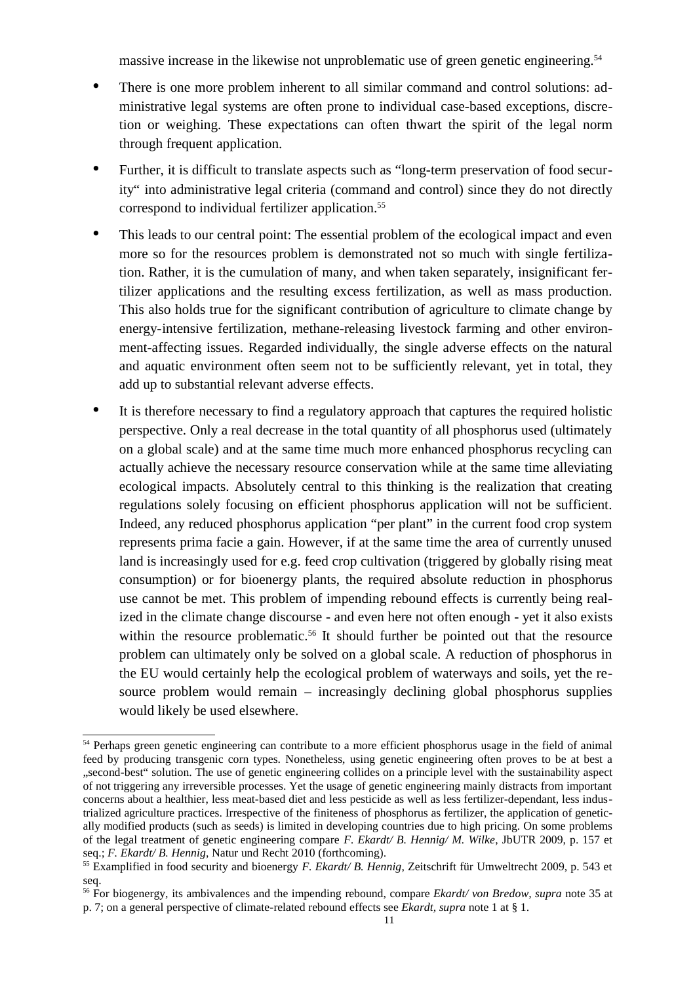massive increase in the likewise not unproblematic use of green genetic engineering.<sup>54</sup>

- There is one more problem inherent to all similar command and control solutions: administrative legal systems are often prone to individual case-based exceptions, discretion or weighing. These expectations can often thwart the spirit of the legal norm through frequent application.
- Further, it is difficult to translate aspects such as "long-term preservation of food security" into administrative legal criteria (command and control) since they do not directly correspond to individual fertilizer application.<sup>55</sup>
- This leads to our central point: The essential problem of the ecological impact and even more so for the resources problem is demonstrated not so much with single fertilization. Rather, it is the cumulation of many, and when taken separately, insignificant fertilizer applications and the resulting excess fertilization, as well as mass production. This also holds true for the significant contribution of agriculture to climate change by energy-intensive fertilization, methane-releasing livestock farming and other environment-affecting issues. Regarded individually, the single adverse effects on the natural and aquatic environment often seem not to be sufficiently relevant, yet in total, they add up to substantial relevant adverse effects.
- It is therefore necessary to find a regulatory approach that captures the required holistic perspective. Only a real decrease in the total quantity of all phosphorus used (ultimately on a global scale) and at the same time much more enhanced phosphorus recycling can actually achieve the necessary resource conservation while at the same time alleviating ecological impacts. Absolutely central to this thinking is the realization that creating regulations solely focusing on efficient phosphorus application will not be sufficient. Indeed, any reduced phosphorus application "per plant" in the current food crop system represents prima facie a gain. However, if at the same time the area of currently unused land is increasingly used for e.g. feed crop cultivation (triggered by globally rising meat consumption) or for bioenergy plants, the required absolute reduction in phosphorus use cannot be met. This problem of impending rebound effects is currently being realized in the climate change discourse - and even here not often enough - yet it also exists within the resource problematic.<sup>56</sup> It should further be pointed out that the resource problem can ultimately only be solved on a global scale. A reduction of phosphorus in the EU would certainly help the ecological problem of waterways and soils, yet the resource problem would remain – increasingly declining global phosphorus supplies would likely be used elsewhere.

<sup>&</sup>lt;sup>54</sup> Perhaps green genetic engineering can contribute to a more efficient phosphorus usage in the field of animal feed by producing transgenic corn types. Nonetheless, using genetic engineering often proves to be at best a "second-best" solution. The use of genetic engineering collides on a principle level with the sustainability aspect of not triggering any irreversible processes. Yet the usage of genetic engineering mainly distracts from important concerns about a healthier, less meat-based diet and less pesticide as well as less fertilizer-dependant, less industrialized agriculture practices. Irrespective of the finiteness of phosphorus as fertilizer, the application of genetically modified products (such as seeds) is limited in developing countries due to high pricing. On some problems of the legal treatment of genetic engineering compare *F. Ekardt/ B. Hennig/ M. Wilke*, JbUTR 2009, p. 157 et seq.; *F. Ekardt/ B. Hennig*, Natur und Recht 2010 (forthcoming).

<sup>55</sup> Examplified in food security and bioenergy *F. Ekardt/ B. Hennig*, Zeitschrift für Umweltrecht 2009, p. 543 et seq.

<sup>56</sup> For biogenergy, its ambivalences and the impending rebound, compare *Ekardt/ von Bredow, supra* note 35 at p. 7; on a general perspective of climate-related rebound effects see *Ekardt, supra* note 1 at § 1.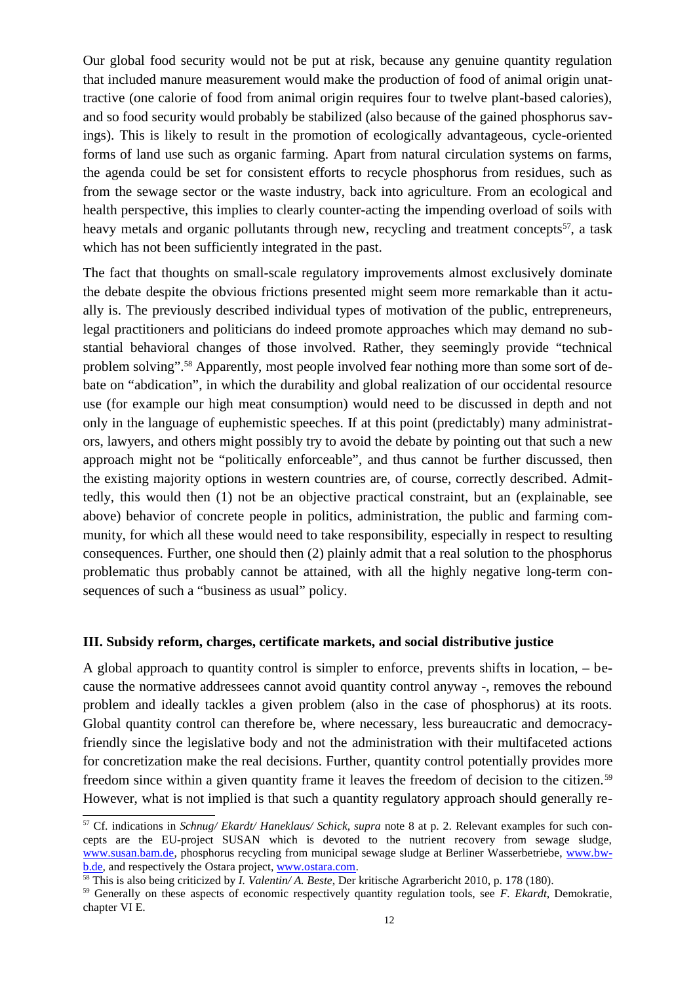Our global food security would not be put at risk, because any genuine quantity regulation that included manure measurement would make the production of food of animal origin unattractive (one calorie of food from animal origin requires four to twelve plant-based calories), and so food security would probably be stabilized (also because of the gained phosphorus savings). This is likely to result in the promotion of ecologically advantageous, cycle-oriented forms of land use such as organic farming. Apart from natural circulation systems on farms, the agenda could be set for consistent efforts to recycle phosphorus from residues, such as from the sewage sector or the waste industry, back into agriculture. From an ecological and health perspective, this implies to clearly counter-acting the impending overload of soils with heavy metals and organic pollutants through new, recycling and treatment concepts<sup>57</sup>, a task which has not been sufficiently integrated in the past.

The fact that thoughts on small-scale regulatory improvements almost exclusively dominate the debate despite the obvious frictions presented might seem more remarkable than it actually is. The previously described individual types of motivation of the public, entrepreneurs, legal practitioners and politicians do indeed promote approaches which may demand no substantial behavioral changes of those involved. Rather, they seemingly provide "technical problem solving".<sup>58</sup> Apparently, most people involved fear nothing more than some sort of debate on "abdication", in which the durability and global realization of our occidental resource use (for example our high meat consumption) would need to be discussed in depth and not only in the language of euphemistic speeches. If at this point (predictably) many administrators, lawyers, and others might possibly try to avoid the debate by pointing out that such a new approach might not be "politically enforceable", and thus cannot be further discussed, then the existing majority options in western countries are, of course, correctly described. Admittedly, this would then (1) not be an objective practical constraint, but an (explainable, see above) behavior of concrete people in politics, administration, the public and farming community, for which all these would need to take responsibility, especially in respect to resulting consequences. Further, one should then (2) plainly admit that a real solution to the phosphorus problematic thus probably cannot be attained, with all the highly negative long-term consequences of such a "business as usual" policy.

#### **III. Subsidy reform, charges, certificate markets, and social distributive justice**

A global approach to quantity control is simpler to enforce, prevents shifts in location, – because the normative addressees cannot avoid quantity control anyway -, removes the rebound problem and ideally tackles a given problem (also in the case of phosphorus) at its roots. Global quantity control can therefore be, where necessary, less bureaucratic and democracyfriendly since the legislative body and not the administration with their multifaceted actions for concretization make the real decisions. Further, quantity control potentially provides more freedom since within a given quantity frame it leaves the freedom of decision to the citizen.<sup>59</sup> However, what is not implied is that such a quantity regulatory approach should generally re-

<sup>57</sup> Cf. indications in *Schnug/ Ekardt/ Haneklaus/ Schick, supra* note 8 at p. 2. Relevant examples for such concepts are the EU-project SUSAN which is devoted to the nutrient recovery from sewage sludge, www.susan.bam.de, phosphorus recycling from municipal sewage sludge at Berliner Wasserbetriebe, www.bwb.de, and respectively the Ostara project, www.ostara.com.

<sup>58</sup> This is also being criticized by *I. Valentin/ A. Beste*, Der kritische Agrarbericht 2010, p. 178 (180).

<sup>&</sup>lt;sup>59</sup> Generally on these aspects of economic respectively quantity regulation tools, see *F. Ekardt*, Demokratie, chapter VI E.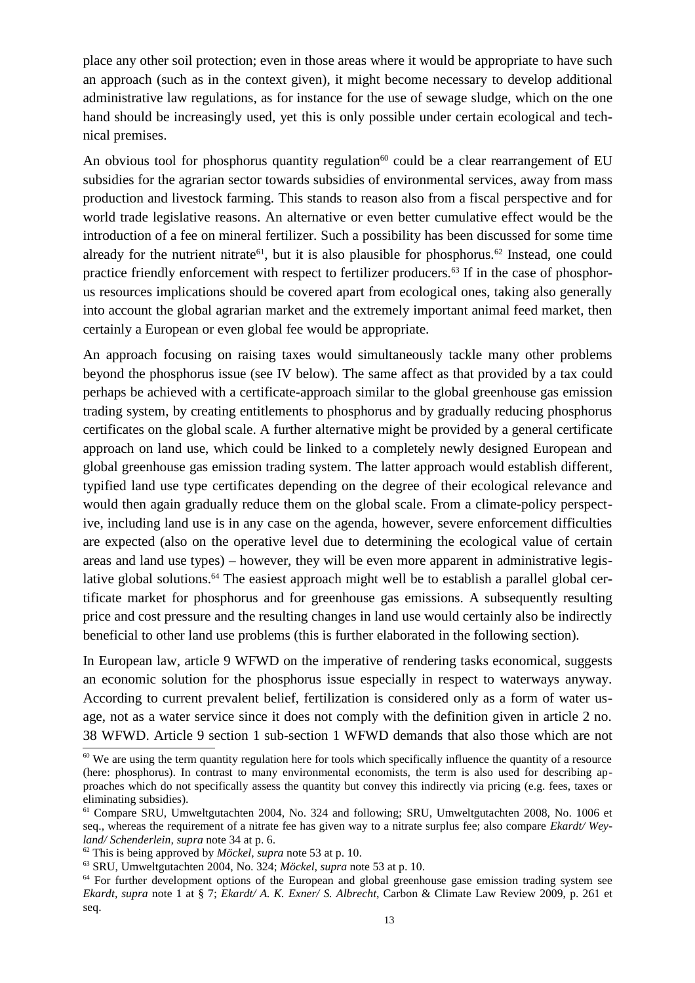place any other soil protection; even in those areas where it would be appropriate to have such an approach (such as in the context given), it might become necessary to develop additional administrative law regulations, as for instance for the use of sewage sludge, which on the one hand should be increasingly used, yet this is only possible under certain ecological and technical premises.

An obvious tool for phosphorus quantity regulation<sup>60</sup> could be a clear rearrangement of EU subsidies for the agrarian sector towards subsidies of environmental services, away from mass production and livestock farming. This stands to reason also from a fiscal perspective and for world trade legislative reasons. An alternative or even better cumulative effect would be the introduction of a fee on mineral fertilizer. Such a possibility has been discussed for some time already for the nutrient nitrate<sup>61</sup>, but it is also plausible for phosphorus.<sup>62</sup> Instead, one could practice friendly enforcement with respect to fertilizer producers.63 If in the case of phosphorus resources implications should be covered apart from ecological ones, taking also generally into account the global agrarian market and the extremely important animal feed market, then certainly a European or even global fee would be appropriate.

An approach focusing on raising taxes would simultaneously tackle many other problems beyond the phosphorus issue (see IV below). The same affect as that provided by a tax could perhaps be achieved with a certificate-approach similar to the global greenhouse gas emission trading system, by creating entitlements to phosphorus and by gradually reducing phosphorus certificates on the global scale. A further alternative might be provided by a general certificate approach on land use, which could be linked to a completely newly designed European and global greenhouse gas emission trading system. The latter approach would establish different, typified land use type certificates depending on the degree of their ecological relevance and would then again gradually reduce them on the global scale. From a climate-policy perspective, including land use is in any case on the agenda, however, severe enforcement difficulties are expected (also on the operative level due to determining the ecological value of certain areas and land use types) – however, they will be even more apparent in administrative legislative global solutions.<sup>64</sup> The easiest approach might well be to establish a parallel global certificate market for phosphorus and for greenhouse gas emissions. A subsequently resulting price and cost pressure and the resulting changes in land use would certainly also be indirectly beneficial to other land use problems (this is further elaborated in the following section).

In European law, article 9 WFWD on the imperative of rendering tasks economical, suggests an economic solution for the phosphorus issue especially in respect to waterways anyway. According to current prevalent belief, fertilization is considered only as a form of water usage, not as a water service since it does not comply with the definition given in article 2 no. 38 WFWD. Article 9 section 1 sub-section 1 WFWD demands that also those which are not

 $60$  We are using the term quantity regulation here for tools which specifically influence the quantity of a resource (here: phosphorus). In contrast to many environmental economists, the term is also used for describing approaches which do not specifically assess the quantity but convey this indirectly via pricing (e.g. fees, taxes or eliminating subsidies).

<sup>61</sup> Compare SRU, Umweltgutachten 2004, No. 324 and following; SRU, Umweltgutachten 2008, No. 1006 et seq., whereas the requirement of a nitrate fee has given way to a nitrate surplus fee; also compare *Ekardt/ Weyland/ Schenderlein, supra* note 34 at p. 6.

<sup>62</sup> This is being approved by *Möckel, supra* note 53 at p. 10.

<sup>63</sup> SRU, Umweltgutachten 2004, No. 324; *Möckel, supra* note 53 at p. 10.

<sup>&</sup>lt;sup>64</sup> For further development options of the European and global greenhouse gase emission trading system see *Ekardt, supra* note 1 at § 7; *Ekardt/ A. K. Exner/ S. Albrecht*, Carbon & Climate Law Review 2009, p. 261 et seq.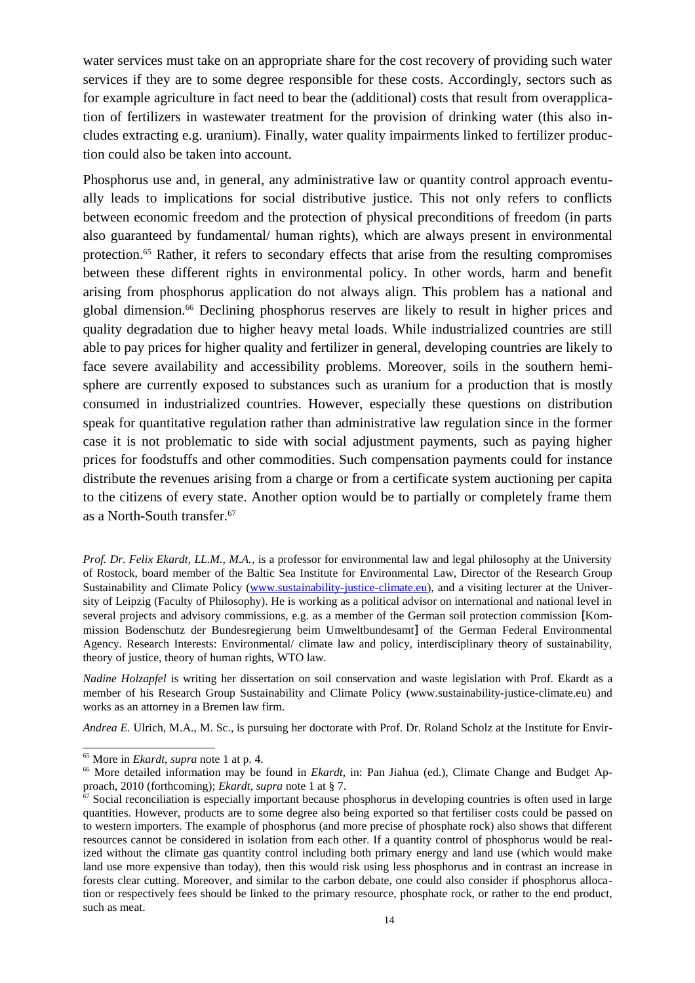water services must take on an appropriate share for the cost recovery of providing such water services if they are to some degree responsible for these costs. Accordingly, sectors such as for example agriculture in fact need to bear the (additional) costs that result from overapplication of fertilizers in wastewater treatment for the provision of drinking water (this also includes extracting e.g. uranium). Finally, water quality impairments linked to fertilizer production could also be taken into account.

Phosphorus use and, in general, any administrative law or quantity control approach eventually leads to implications for social distributive justice. This not only refers to conflicts between economic freedom and the protection of physical preconditions of freedom (in parts also guaranteed by fundamental/ human rights), which are always present in environmental protection.<sup>65</sup> Rather, it refers to secondary effects that arise from the resulting compromises between these different rights in environmental policy. In other words, harm and benefit arising from phosphorus application do not always align. This problem has a national and global dimension.<sup>66</sup> Declining phosphorus reserves are likely to result in higher prices and quality degradation due to higher heavy metal loads. While industrialized countries are still able to pay prices for higher quality and fertilizer in general, developing countries are likely to face severe availability and accessibility problems. Moreover, soils in the southern hemisphere are currently exposed to substances such as uranium for a production that is mostly consumed in industrialized countries. However, especially these questions on distribution speak for quantitative regulation rather than administrative law regulation since in the former case it is not problematic to side with social adjustment payments, such as paying higher prices for foodstuffs and other commodities. Such compensation payments could for instance distribute the revenues arising from a charge or from a certificate system auctioning per capita to the citizens of every state. Another option would be to partially or completely frame them as a North-South transfer.<sup>67</sup>

*Prof. Dr. Felix Ekardt, LL.M., M.A.*, is a professor for environmental law and legal philosophy at the University of Rostock, board member of the Baltic Sea Institute for Environmental Law, Director of the Research Group Sustainability and Climate Policy (www.sustainability-justice-climate.eu), and a visiting lecturer at the University of Leipzig (Faculty of Philosophy). He is working as a political advisor on international and national level in several projects and advisory commissions, e.g. as a member of the German soil protection commission [Kommission Bodenschutz der Bundesregierung beim Umweltbundesamt] of the German Federal Environmental Agency. Research Interests: Environmental/ climate law and policy, interdisciplinary theory of sustainability, theory of justice, theory of human rights, WTO law.

*Nadine Holzapfel* is writing her dissertation on soil conservation and waste legislation with Prof. Ekardt as a member of his Research Group Sustainability and Climate Policy (www.sustainability-justice-climate.eu) and works as an attorney in a Bremen law firm.

*Andrea E.* Ulrich, M.A., M. Sc., is pursuing her doctorate with Prof. Dr. Roland Scholz at the Institute for Envir-

<sup>65</sup> More in *Ekardt, supra* note 1 at p. 4.

<sup>&</sup>lt;sup>66</sup> More detailed information may be found in *Ekardt*, in: Pan Jiahua (ed.), Climate Change and Budget Approach, 2010 (forthcoming); *Ekardt, supra* note 1 at § 7.

 $67$  Social reconciliation is especially important because phosphorus in developing countries is often used in large quantities. However, products are to some degree also being exported so that fertiliser costs could be passed on to western importers. The example of phosphorus (and more precise of phosphate rock) also shows that different resources cannot be considered in isolation from each other. If a quantity control of phosphorus would be realized without the climate gas quantity control including both primary energy and land use (which would make land use more expensive than today), then this would risk using less phosphorus and in contrast an increase in forests clear cutting. Moreover, and similar to the carbon debate, one could also consider if phosphorus allocation or respectively fees should be linked to the primary resource, phosphate rock, or rather to the end product, such as meat.